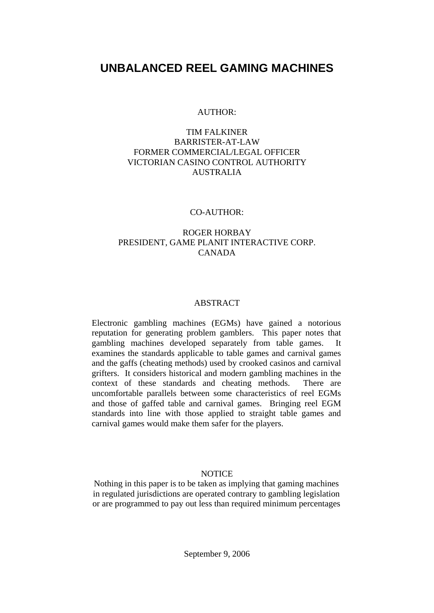# **UNBALANCED REEL GAMING MACHINES**

### AUTHOR:

## TIM FALKINER BARRISTER-AT-LAW FORMER COMMERCIAL/LEGAL OFFICER VICTORIAN CASINO CONTROL AUTHORITY AUSTRALIA

### CO-AUTHOR:

## ROGER HORBAY PRESIDENT, GAME PLANIT INTERACTIVE CORP. CANADA

## ABSTRACT

Electronic gambling machines (EGMs) have gained a notorious reputation for generating problem gamblers. This paper notes that gambling machines developed separately from table games. It examines the standards applicable to table games and carnival games and the gaffs (cheating methods) used by crooked casinos and carnival grifters. It considers historical and modern gambling machines in the context of these standards and cheating methods. There are uncomfortable parallels between some characteristics of reel EGMs and those of gaffed table and carnival games. Bringing reel EGM standards into line with those applied to straight table games and carnival games would make them safer for the players.

## **NOTICE**

Nothing in this paper is to be taken as implying that gaming machines in regulated jurisdictions are operated contrary to gambling legislation or are programmed to pay out less than required minimum percentages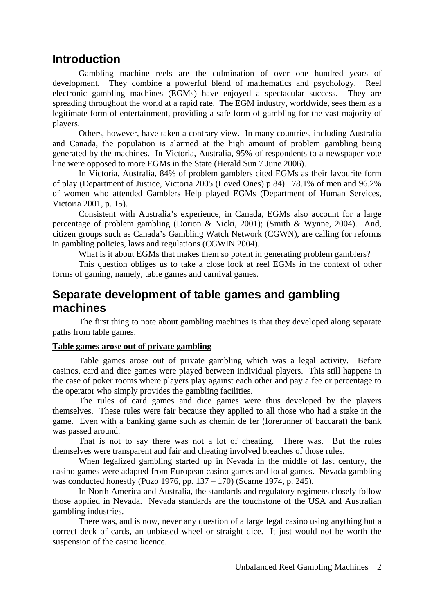# **Introduction**

Gambling machine reels are the culmination of over one hundred years of development. They combine a powerful blend of mathematics and psychology. Reel electronic gambling machines (EGMs) have enjoyed a spectacular success. They are spreading throughout the world at a rapid rate. The EGM industry, worldwide, sees them as a legitimate form of entertainment, providing a safe form of gambling for the vast majority of players.

Others, however, have taken a contrary view. In many countries, including Australia and Canada, the population is alarmed at the high amount of problem gambling being generated by the machines. In Victoria, Australia, 95% of respondents to a newspaper vote line were opposed to more EGMs in the State (Herald Sun 7 June 2006).

In Victoria, Australia, 84% of problem gamblers cited EGMs as their favourite form of play (Department of Justice, Victoria 2005 (Loved Ones) p 84). 78.1% of men and 96.2% of women who attended Gamblers Help played EGMs (Department of Human Services, Victoria 2001, p. 15).

Consistent with Australia's experience, in Canada, EGMs also account for a large percentage of problem gambling (Dorion & Nicki, 2001); (Smith & Wynne, 2004). And, citizen groups such as Canada's Gambling Watch Network (CGWN), are calling for reforms in gambling policies, laws and regulations (CGWIN 2004).

What is it about EGMs that makes them so potent in generating problem gamblers?

This question obliges us to take a close look at reel EGMs in the context of other forms of gaming, namely, table games and carnival games.

# **Separate development of table games and gambling machines**

The first thing to note about gambling machines is that they developed along separate paths from table games.

## **Table games arose out of private gambling**

Table games arose out of private gambling which was a legal activity. Before casinos, card and dice games were played between individual players. This still happens in the case of poker rooms where players play against each other and pay a fee or percentage to the operator who simply provides the gambling facilities.

The rules of card games and dice games were thus developed by the players themselves. These rules were fair because they applied to all those who had a stake in the game. Even with a banking game such as chemin de fer (forerunner of baccarat) the bank was passed around.

That is not to say there was not a lot of cheating. There was. But the rules themselves were transparent and fair and cheating involved breaches of those rules.

When legalized gambling started up in Nevada in the middle of last century, the casino games were adapted from European casino games and local games. Nevada gambling was conducted honestly (Puzo 1976, pp. 137 – 170) (Scarne 1974, p. 245).

In North America and Australia, the standards and regulatory regimens closely follow those applied in Nevada. Nevada standards are the touchstone of the USA and Australian gambling industries.

There was, and is now, never any question of a large legal casino using anything but a correct deck of cards, an unbiased wheel or straight dice. It just would not be worth the suspension of the casino licence.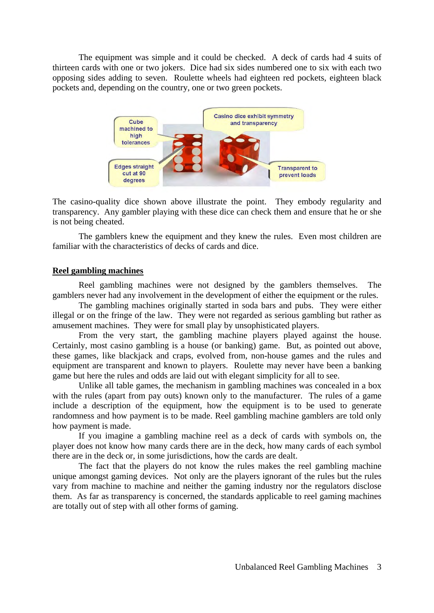The equipment was simple and it could be checked. A deck of cards had 4 suits of thirteen cards with one or two jokers. Dice had six sides numbered one to six with each two opposing sides adding to seven. Roulette wheels had eighteen red pockets, eighteen black pockets and, depending on the country, one or two green pockets.



The casino-quality dice shown above illustrate the point. They embody regularity and transparency. Any gambler playing with these dice can check them and ensure that he or she is not being cheated.

The gamblers knew the equipment and they knew the rules. Even most children are familiar with the characteristics of decks of cards and dice.

#### **Reel gambling machines**

Reel gambling machines were not designed by the gamblers themselves. The gamblers never had any involvement in the development of either the equipment or the rules.

The gambling machines originally started in soda bars and pubs. They were either illegal or on the fringe of the law. They were not regarded as serious gambling but rather as amusement machines. They were for small play by unsophisticated players.

From the very start, the gambling machine players played against the house. Certainly, most casino gambling is a house (or banking) game. But, as pointed out above, these games, like blackjack and craps, evolved from, non-house games and the rules and equipment are transparent and known to players. Roulette may never have been a banking game but here the rules and odds are laid out with elegant simplicity for all to see.

Unlike all table games, the mechanism in gambling machines was concealed in a box with the rules (apart from pay outs) known only to the manufacturer. The rules of a game include a description of the equipment, how the equipment is to be used to generate randomness and how payment is to be made. Reel gambling machine gamblers are told only how payment is made.

If you imagine a gambling machine reel as a deck of cards with symbols on, the player does not know how many cards there are in the deck, how many cards of each symbol there are in the deck or, in some jurisdictions, how the cards are dealt.

The fact that the players do not know the rules makes the reel gambling machine unique amongst gaming devices. Not only are the players ignorant of the rules but the rules vary from machine to machine and neither the gaming industry nor the regulators disclose them. As far as transparency is concerned, the standards applicable to reel gaming machines are totally out of step with all other forms of gaming.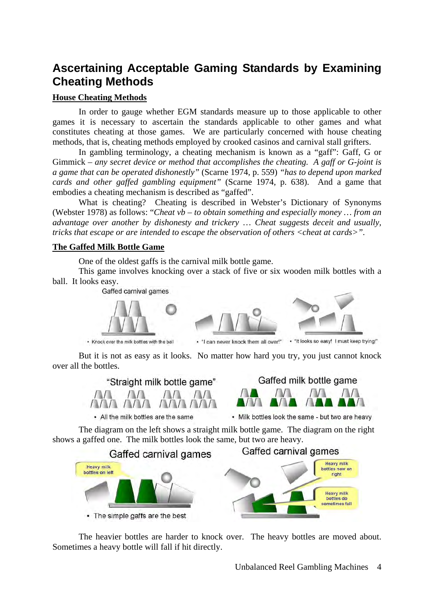# **Ascertaining Acceptable Gaming Standards by Examining Cheating Methods**

## **House Cheating Methods**

In order to gauge whether EGM standards measure up to those applicable to other games it is necessary to ascertain the standards applicable to other games and what constitutes cheating at those games. We are particularly concerned with house cheating methods, that is, cheating methods employed by crooked casinos and carnival stall grifters.

In gambling terminology, a cheating mechanism is known as a "gaff": Gaff, G or Gimmick – *any secret device or method that accomplishes the cheating. A gaff or G-joint is a game that can be operated dishonestly"* (Scarne 1974, p. 559) *"has to depend upon marked cards and other gaffed gambling equipment"* (Scarne 1974, p. 638). And a game that embodies a cheating mechanism is described as "gaffed".

What is cheating? Cheating is described in Webster's Dictionary of Synonyms (Webster 1978) as follows: "*Cheat vb – to obtain something and especially money … from an advantage over another by dishonesty and trickery* … *Cheat suggests deceit and usually, tricks that escape or are intended to escape the observation of others <cheat at cards>".* 

## **The Gaffed Milk Bottle Game**

One of the oldest gaffs is the carnival milk bottle game.

This game involves knocking over a stack of five or six wooden milk bottles with a ball. It looks easy.



• Knock over the milk bottles with the ball

- "I can never knock them all over!"

• "It looks so easy! I must keep trying!"

But it is not as easy as it looks. No matter how hard you try, you just cannot knock over all the bottles.



• All the milk bottles are the same



• Milk bottles look the same - but two are heavy

The diagram on the left shows a straight milk bottle game. The diagram on the right shows a gaffed one. The milk bottles look the same, but two are heavy.



The heavier bottles are harder to knock over. The heavy bottles are moved about. Sometimes a heavy bottle will fall if hit directly.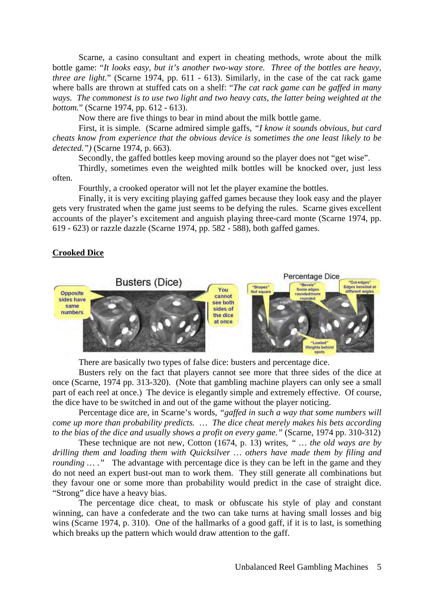Scarne, a casino consultant and expert in cheating methods, wrote about the milk bottle game: "*It looks easy, but it's another two-way store. Three of the bottles are heavy, three are light.*" (Scarne 1974, pp. 611 - 613). Similarly, in the case of the cat rack game where balls are thrown at stuffed cats on a shelf: "*The cat rack game can be gaffed in many ways. The commonest is to use two light and two heavy cats, the latter being weighted at the bottom.*" (Scarne 1974, pp. 612 - 613).

Now there are five things to bear in mind about the milk bottle game.

First, it is simple. (Scarne admired simple gaffs, *"I know it sounds obvious, but card cheats know from experience that the obvious device is sometimes the one least likely to be detected.")* (Scarne 1974, p. 663).

Secondly, the gaffed bottles keep moving around so the player does not "get wise".

Thirdly, sometimes even the weighted milk bottles will be knocked over, just less often.

Fourthly, a crooked operator will not let the player examine the bottles.

Finally, it is very exciting playing gaffed games because they look easy and the player gets very frustrated when the game just seems to be defying the rules. Scarne gives excellent accounts of the player's excitement and anguish playing three-card monte (Scarne 1974, pp. 619 - 623) or razzle dazzle (Scarne 1974, pp. 582 - 588), both gaffed games.

### **Crooked Dice**



There are basically two types of false dice: busters and percentage dice.

Busters rely on the fact that players cannot see more that three sides of the dice at once (Scarne, 1974 pp. 313-320). (Note that gambling machine players can only see a small part of each reel at once.) The device is elegantly simple and extremely effective. Of course, the dice have to be switched in and out of the game without the player noticing.

Percentage dice are, in Scarne's words, *"gaffed in such a way that some numbers will come up more than probability predicts. … The dice cheat merely makes his bets according to the bias of the dice and usually shows a profit on every game."* (Scarne, 1974 pp. 310-312)

These technique are not new, Cotton (1674, p. 13) writes, *" … the old ways are by drilling them and loading them with Quicksilver … others have made them by filing and rounding* ...." The advantage with percentage dice is they can be left in the game and they do not need an expert bust-out man to work them. They still generate all combinations but they favour one or some more than probability would predict in the case of straight dice. "Strong" dice have a heavy bias.

The percentage dice cheat, to mask or obfuscate his style of play and constant winning, can have a confederate and the two can take turns at having small losses and big wins (Scarne 1974, p. 310). One of the hallmarks of a good gaff, if it is to last, is something which breaks up the pattern which would draw attention to the gaff.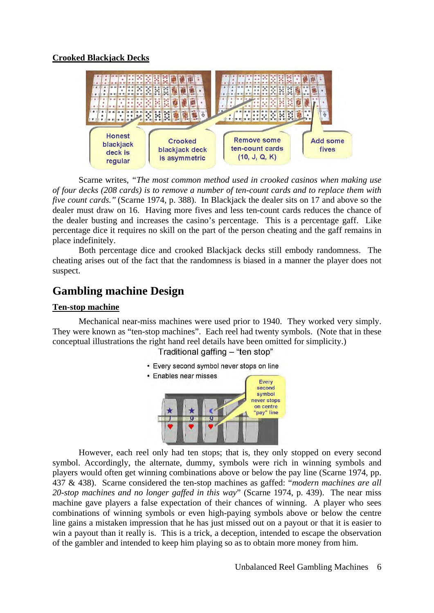### **Crooked Blackjack Decks**



Scarne writes, *"The most common method used in crooked casinos when making use of four decks (208 cards) is to remove a number of ten-count cards and to replace them with five count cards."* (Scarne 1974, p. 388). In Blackjack the dealer sits on 17 and above so the dealer must draw on 16. Having more fives and less ten-count cards reduces the chance of the dealer busting and increases the casino's percentage. This is a percentage gaff. Like percentage dice it requires no skill on the part of the person cheating and the gaff remains in place indefinitely.

Both percentage dice and crooked Blackjack decks still embody randomness. The cheating arises out of the fact that the randomness is biased in a manner the player does not suspect.

# **Gambling machine Design**

### **Ten-stop machine**

Mechanical near-miss machines were used prior to 1940. They worked very simply. They were known as "ten-stop machines". Each reel had twenty symbols. (Note that in these conceptual illustrations the right hand reel details have been omitted for simplicity.)

Traditional gaffing - "ten stop"

- Every second symbol never stops on line
- Enables near misses



However, each reel only had ten stops; that is, they only stopped on every second symbol. Accordingly, the alternate, dummy, symbols were rich in winning symbols and players would often get winning combinations above or below the pay line (Scarne 1974, pp. 437 & 438). Scarne considered the ten-stop machines as gaffed: "*modern machines are all 20-stop machines and no longer gaffed in this way*" (Scarne 1974, p. 439). The near miss machine gave players a false expectation of their chances of winning. A player who sees combinations of winning symbols or even high-paying symbols above or below the centre line gains a mistaken impression that he has just missed out on a payout or that it is easier to win a payout than it really is. This is a trick, a deception, intended to escape the observation of the gambler and intended to keep him playing so as to obtain more money from him.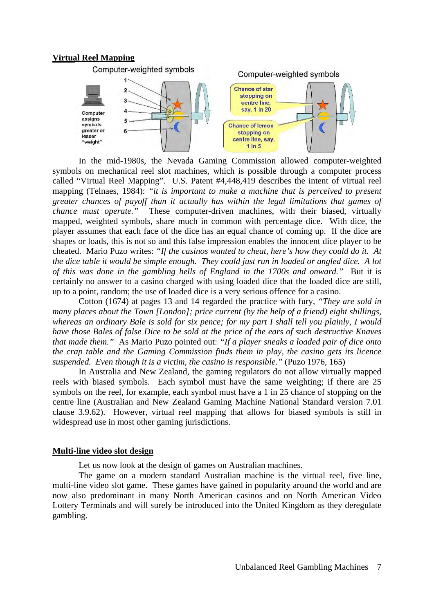#### **Virtual Reel Mapping**



In the mid-1980s, the Nevada Gaming Commission allowed computer-weighted symbols on mechanical reel slot machines, which is possible through a computer process called "Virtual Reel Mapping". U.S. Patent #4,448,419 describes the intent of virtual reel mapping (Telnaes, 1984): *"it is important to make a machine that is perceived to present greater chances of payoff than it actually has within the legal limitations that games of chance must operate."* These computer-driven machines, with their biased, virtually mapped, weighted symbols, share much in common with percentage dice. With dice, the player assumes that each face of the dice has an equal chance of coming up. If the dice are shapes or loads, this is not so and this false impression enables the innocent dice player to be cheated. Mario Puzo writes: *"If the casinos wanted to cheat, here's how they could do it. At the dice table it would be simple enough. They could just run in loaded or angled dice. A lot of this was done in the gambling hells of England in the 1700s and onward."* But it is certainly no answer to a casino charged with using loaded dice that the loaded dice are still, up to a point, random; the use of loaded dice is a very serious offence for a casino.

Cotton (1674) at pages 13 and 14 regarded the practice with fury, *"They are sold in many places about the Town [London]; price current (by the help of a friend) eight shillings, whereas an ordinary Bale is sold for six pence; for my part I shall tell you plainly, I would have those Bales of false Dice to be sold at the price of the ears of such destructive Knaves that made them."* As Mario Puzo pointed out: *"If a player sneaks a loaded pair of dice onto the crap table and the Gaming Commission finds them in play, the casino gets its licence suspended. Even though it is a victim, the casino is responsible."* (Puzo 1976, 165)

In Australia and New Zealand, the gaming regulators do not allow virtually mapped reels with biased symbols. Each symbol must have the same weighting; if there are 25 symbols on the reel, for example, each symbol must have a 1 in 25 chance of stopping on the centre line (Australian and New Zealand Gaming Machine National Standard version 7.01 clause 3.9.62). However, virtual reel mapping that allows for biased symbols is still in widespread use in most other gaming jurisdictions.

## **Multi-line video slot design**

Let us now look at the design of games on Australian machines.

The game on a modern standard Australian machine is the virtual reel, five line, multi-line video slot game. These games have gained in popularity around the world and are now also predominant in many North American casinos and on North American Video Lottery Terminals and will surely be introduced into the United Kingdom as they deregulate gambling.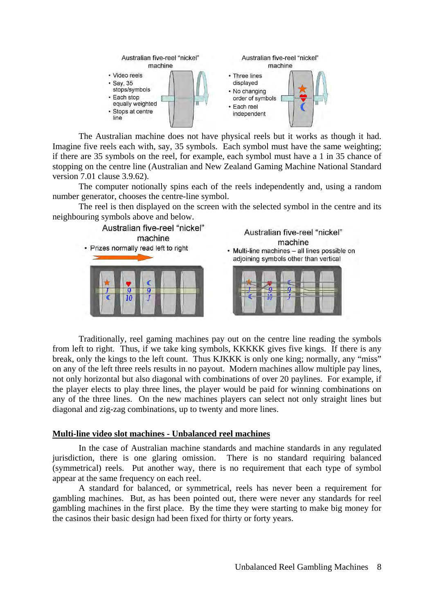

 The Australian machine does not have physical reels but it works as though it had. Imagine five reels each with, say, 35 symbols. Each symbol must have the same weighting; if there are 35 symbols on the reel, for example, each symbol must have a 1 in 35 chance of stopping on the centre line (Australian and New Zealand Gaming Machine National Standard version 7.01 clause 3.9.62).

The computer notionally spins each of the reels independently and, using a random number generator, chooses the centre-line symbol.

The reel is then displayed on the screen with the selected symbol in the centre and its neighbouring symbols above and below.



Traditionally, reel gaming machines pay out on the centre line reading the symbols from left to right. Thus, if we take king symbols, KKKKK gives five kings. If there is any break, only the kings to the left count. Thus KJKKK is only one king; normally, any "miss" on any of the left three reels results in no payout. Modern machines allow multiple pay lines, not only horizontal but also diagonal with combinations of over 20 paylines. For example, if the player elects to play three lines, the player would be paid for winning combinations on any of the three lines. On the new machines players can select not only straight lines but diagonal and zig-zag combinations, up to twenty and more lines.

#### **Multi-line video slot machines - Unbalanced reel machines**

In the case of Australian machine standards and machine standards in any regulated jurisdiction, there is one glaring omission. There is no standard requiring balanced (symmetrical) reels. Put another way, there is no requirement that each type of symbol appear at the same frequency on each reel.

A standard for balanced, or symmetrical, reels has never been a requirement for gambling machines. But, as has been pointed out, there were never any standards for reel gambling machines in the first place. By the time they were starting to make big money for the casinos their basic design had been fixed for thirty or forty years.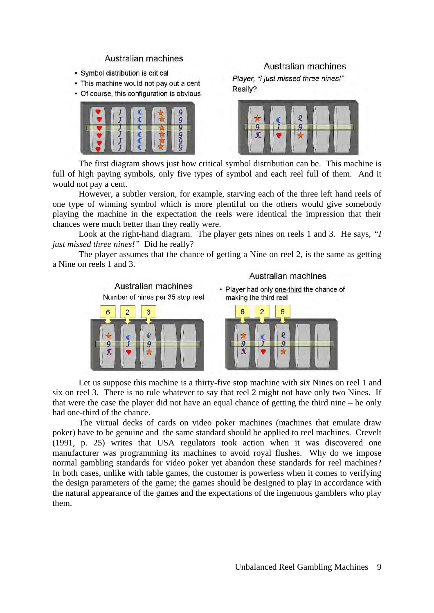#### Australian machines

- · Symbol distribution is critical
- This machine would not pay out a cent
- Of course, this configuration is obvious



## Australian machines

Plaver. "I just missed three nines!" Really?



The first diagram shows just how critical symbol distribution can be. This machine is full of high paying symbols, only five types of symbol and each reel full of them. And it would not pay a cent.

However, a subtler version, for example, starving each of the three left hand reels of one type of winning symbol which is more plentiful on the others would give somebody playing the machine in the expectation the reels were identical the impression that their chances were much better than they really were.

Look at the right-hand diagram. The player gets nines on reels 1 and 3. He says, *"I just missed three nines!"* Did he really?

The player assumes that the chance of getting a Nine on reel 2, is the same as getting a Nine on reels 1 and 3.



Let us suppose this machine is a thirty-five stop machine with six Nines on reel 1 and six on reel 3. There is no rule whatever to say that reel 2 might not have only two Nines. If that were the case the player did not have an equal chance of getting the third nine – he only had one-third of the chance.

The virtual decks of cards on video poker machines (machines that emulate draw poker) have to be genuine and the same standard should be applied to reel machines. Crevelt (1991, p. 25) writes that USA regulators took action when it was discovered one manufacturer was programming its machines to avoid royal flushes. Why do we impose normal gambling standards for video poker yet abandon these standards for reel machines? In both cases, unlike with table games, the customer is powerless when it comes to verifying the design parameters of the game; the games should be designed to play in accordance with the natural appearance of the games and the expectations of the ingenuous gamblers who play them.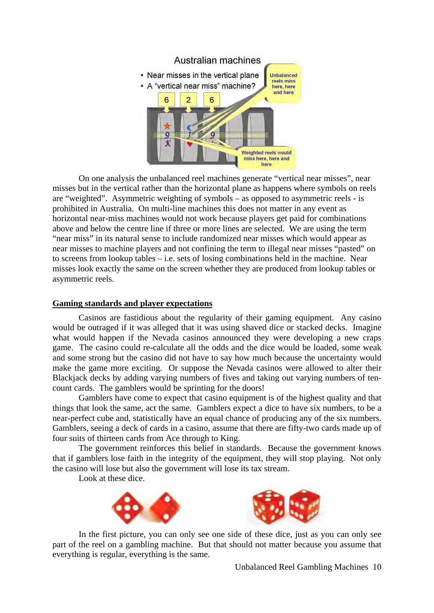

On one analysis the unbalanced reel machines generate "vertical near misses", near misses but in the vertical rather than the horizontal plane as happens where symbols on reels are "weighted". Asymmetric weighting of symbols – as opposed to asymmetric reels - is prohibited in Australia. On multi-line machines this does not matter in any event as horizontal near-miss machines would not work because players get paid for combinations above and below the centre line if three or more lines are selected. We are using the term "near miss" in its natural sense to include randomized near misses which would appear as near misses to machine players and not confining the term to illegal near misses "pasted" on to screens from lookup tables – i.e. sets of losing combinations held in the machine. Near misses look exactly the same on the screen whether they are produced from lookup tables or asymmetric reels.

### **Gaming standards and player expectations**

Casinos are fastidious about the regularity of their gaming equipment. Any casino would be outraged if it was alleged that it was using shaved dice or stacked decks. Imagine what would happen if the Nevada casinos announced they were developing a new craps game. The casino could re-calculate all the odds and the dice would be loaded, some weak and some strong but the casino did not have to say how much because the uncertainty would make the game more exciting. Or suppose the Nevada casinos were allowed to alter their Blackjack decks by adding varying numbers of fives and taking out varying numbers of tencount cards. The gamblers would be sprinting for the doors!

Gamblers have come to expect that casino equipment is of the highest quality and that things that look the same, act the same. Gamblers expect a dice to have six numbers, to be a near-perfect cube and, statistically have an equal chance of producing any of the six numbers. Gamblers, seeing a deck of cards in a casino, assume that there are fifty-two cards made up of four suits of thirteen cards from Ace through to King.

The government reinforces this belief in standards. Because the government knows that if gamblers lose faith in the integrity of the equipment, they will stop playing. Not only the casino will lose but also the government will lose its tax stream.

Look at these dice.





 In the first picture, you can only see one side of these dice, just as you can only see part of the reel on a gambling machine. But that should not matter because you assume that everything is regular, everything is the same.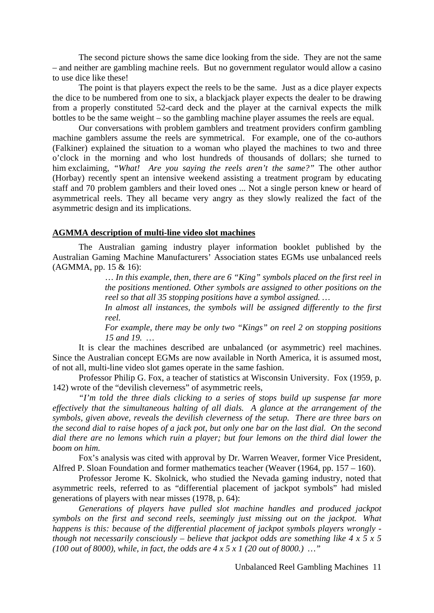The second picture shows the same dice looking from the side. They are not the same – and neither are gambling machine reels. But no government regulator would allow a casino to use dice like these!

The point is that players expect the reels to be the same. Just as a dice player expects the dice to be numbered from one to six, a blackjack player expects the dealer to be drawing from a properly constituted 52-card deck and the player at the carnival expects the milk bottles to be the same weight – so the gambling machine player assumes the reels are equal.

Our conversations with problem gamblers and treatment providers confirm gambling machine gamblers assume the reels are symmetrical. For example, one of the co-authors (Falkiner) explained the situation to a woman who played the machines to two and three o'clock in the morning and who lost hundreds of thousands of dollars; she turned to him exclaiming, *"What! Are you saying the reels aren't the same?"* The other author (Horbay) recently spent an intensive weekend assisting a treatment program by educating staff and 70 problem gamblers and their loved ones ... Not a single person knew or heard of asymmetrical reels. They all became very angry as they slowly realized the fact of the asymmetric design and its implications.

#### **AGMMA description of multi-line video slot machines**

The Australian gaming industry player information booklet published by the Australian Gaming Machine Manufacturers' Association states EGMs use unbalanced reels (AGMMA, pp. 15 & 16):

> … *In this example, then, there are 6 "King" symbols placed on the first reel in the positions mentioned. Other symbols are assigned to other positions on the reel so that all 35 stopping positions have a symbol assigned. …*

> *In almost all instances, the symbols will be assigned differently to the first reel.*

> *For example, there may be only two "Kings" on reel 2 on stopping positions 15 and 19. …*

It is clear the machines described are unbalanced (or asymmetric) reel machines. Since the Australian concept EGMs are now available in North America, it is assumed most, of not all, multi-line video slot games operate in the same fashion.

Professor Philip G. Fox, a teacher of statistics at Wisconsin University. Fox (1959, p. 142) wrote of the "devilish cleverness" of asymmetric reels,

*"I'm told the three dials clicking to a series of stops build up suspense far more effectively that the simultaneous halting of all dials. A glance at the arrangement of the symbols, given above, reveals the devilish cleverness of the setup. There are three bars on the second dial to raise hopes of a jack pot, but only one bar on the last dial. On the second dial there are no lemons which ruin a player; but four lemons on the third dial lower the boom on him.* 

Fox's analysis was cited with approval by Dr. Warren Weaver, former Vice President, Alfred P. Sloan Foundation and former mathematics teacher (Weaver (1964, pp. 157 – 160).

Professor Jerome K. Skolnick, who studied the Nevada gaming industry, noted that asymmetric reels, referred to as "differential placement of jackpot symbols" had misled generations of players with near misses (1978, p. 64):

*Generations of players have pulled slot machine handles and produced jackpot symbols on the first and second reels, seemingly just missing out on the jackpot. What happens is this: because of the differential placement of jackpot symbols players wrongly though not necessarily consciously – believe that jackpot odds are something like 4 x 5 x 5 (100 out of 8000), while, in fact, the odds are 4 x 5 x 1 (20 out of 8000.) …"*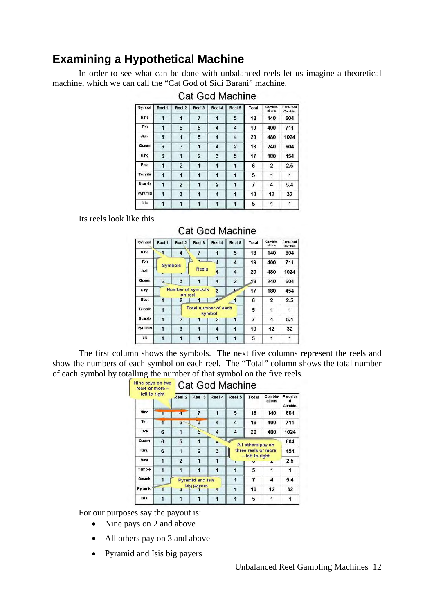# **Examining a Hypothetical Machine**

In order to see what can be done with unbalanced reels let us imagine a theoretical machine, which we can call the "Cat God of Sidi Barani" machine.

| Symbol      | Reel 1 | Reel 2                  | Reel 3         | Reel 4              | Reel 5         | <b>Total</b> | Combin-<br>ations | Perceived<br>Combin. |
|-------------|--------|-------------------------|----------------|---------------------|----------------|--------------|-------------------|----------------------|
| <b>Nine</b> | 1      | $\overline{\mathbf{4}}$ | 7              | 1                   | 5              | 18           | 140               | 604                  |
| Ten         | 1      | 5                       | 5              | 4                   | 4              | 19           | 400               | 711                  |
| Jack        | 6      | 1                       | 5              | 4                   | 4              | 20           | 480               | 1024                 |
| Queen       | 6      | 5                       | 1              | $\overline{\bf{4}}$ | $\overline{2}$ | 18           | 240               | 604                  |
| King        | 6      | 1                       | $\overline{2}$ | 3                   | 5              | 17           | 180               | 454                  |
| <b>Bast</b> | 1      | $\overline{2}$          | 1              | 1                   | 1              | 6            | $\overline{2}$    | 2.5                  |
| Temple      | 1      | 1                       | 1              | 1                   | 1              | 5            | 1                 | 1                    |
| Scarab      | 1      | $\overline{2}$          | $\mathbf{1}$   | 2                   | 1              | 7            | 4                 | 5.4                  |
| Pyramid     | 1      | 3                       | 1              | 4                   | 1              | 10           | 12                | 32                   |
| Isis        | 1      | 1                       | 1              | $\mathbf{1}$        | 1              | 5            | 1                 | 1                    |

## Cat God Machine

Its reels look like this.

## **Cat God Machine**

| Symbol         | Reel 1         | Reel 2              | Reel 3                   | Reel 4              | Reel 5              | Total | Combin-<br>ations       | Perceived<br>Combin. |
|----------------|----------------|---------------------|--------------------------|---------------------|---------------------|-------|-------------------------|----------------------|
| <b>Nine</b>    | $\blacksquare$ | $\overline{\bf{4}}$ | 7                        | $\mathbf{1}$        | 5                   | 18    | 140                     | 604                  |
| Ten            |                | <b>Symbols</b>      |                          | $\overline{4}$      | $\overline{\bf{4}}$ | 19    | 400                     | 711                  |
| Jack           |                |                     | <b>Reels</b>             | $\overline{\bf{4}}$ | $\overline{\bf{4}}$ | 20    | 480                     | 1024                 |
| Queen          | 6              | 5                   | 1                        | $\overline{\bf{4}}$ | $\overline{2}$      | 18    | 240                     | 604                  |
| King           |                | on reel             | <b>Number of symbols</b> | $\overline{3}$      | $\sim$              | 17    | 180                     | 454                  |
| <b>Bast</b>    | 1              | $\overline{2}$      | 1                        |                     |                     | 6     | $\overline{\mathbf{2}}$ | 2.5                  |
| Temple         | 1              |                     | Total number of each     | symbol              |                     | 5     | 1                       | 1                    |
| Scarab         | 1              | $\overline{2}$      | 1                        | $\overline{z}$      | 1                   | 7     | 4                       | 5.4                  |
| <b>Pyramid</b> | 1              | 3                   | 1                        | 4                   | 1                   | 10    | 12                      | 32                   |
| <b>Isis</b>    | 1              | 1                   | 1                        | $\mathbf{1}$        | 1                   | 5     | 1                       | 1                    |

The first column shows the symbols. The next five columns represent the reels and show the numbers of each symbol on each reel. The "Total" column shows the total number of each symbol by totalling the number of that symbol on the five reels.

| Nine pays on two<br>reels or more - |                |                | <b>Cat God Machine</b>  |                      |                      |       |                   |                          |  |  |  |
|-------------------------------------|----------------|----------------|-------------------------|----------------------|----------------------|-------|-------------------|--------------------------|--|--|--|
| left to right                       |                | Reel 2         |                         | Reel 3 Reel 4 Reel 5 |                      | Total | Combin-<br>ations | Perceive<br>d<br>Combin. |  |  |  |
| <b>Nine</b>                         | 1              | 4              | 7                       | 1                    | 5                    | 18    | 140               | 604                      |  |  |  |
| Ten                                 | 1              | 5              | 5                       | 4                    | 4                    | 19    | 400               | 711                      |  |  |  |
| Jack                                | 6              | $\mathbf{1}$   | 5                       | 4                    | 4                    | 20    | 480               | 1024                     |  |  |  |
| Queen                               | 6              | 5              | 1                       | 4                    | All others pay on    | 604   |                   |                          |  |  |  |
| King                                | 6              | 1              | $\overline{2}$          | 3                    | three reels or more  | 454   |                   |                          |  |  |  |
| <b>Bast</b>                         | 1              | $\overline{2}$ | $\overline{1}$          | 1                    | - left to right<br>п | 2.5   |                   |                          |  |  |  |
| <b>Temple</b>                       | 1              | 1              | 1                       | 1                    | 1                    | 5     |                   | 1                        |  |  |  |
| Scarab                              | 1              |                | <b>Pyramid and Isis</b> |                      |                      | 7     | 4                 | 5.4                      |  |  |  |
| <b>Pyramid</b>                      | $\overline{1}$ | J              | big payers              | 4                    | 1                    | 10    | 12                | 32                       |  |  |  |
| Isis                                | 1              | 1              | 1                       | 1                    | 1                    | 5     | 1                 | 1                        |  |  |  |

For our purposes say the payout is:

- Nine pays on 2 and above
- All others pay on 3 and above
- Pyramid and Isis big payers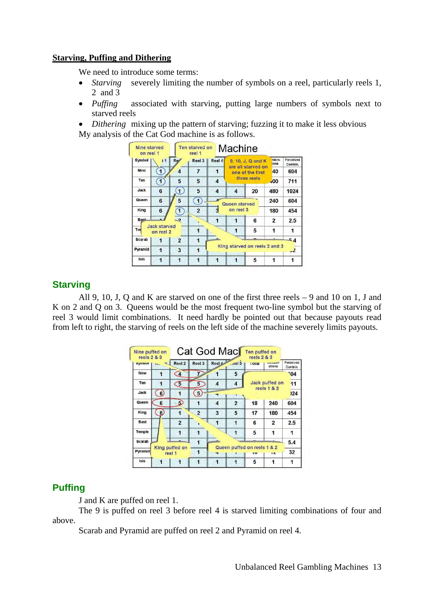### **Starving, Puffing and Dithering**

We need to introduce some terms:

- *Starving* severely limiting the number of symbols on a reel, particularly reels 1, 2 and 3
- *Puffing* associated with starving, putting large numbers of symbols next to starved reels

*Dithering* mixing up the pattern of starving; fuzzing it to make it less obvious My analysis of the Cat God machine is as follows.



## **Starving**

All 9, 10, J, Q and K are starved on one of the first three reels – 9 and 10 on 1, J and K on 2 and Q on 3. Queens would be the most frequent two-line symbol but the starving of reel 3 would limit combinations. It need hardly be pointed out that because payouts read from left to right, the starving of reels on the left side of the machine severely limits payouts.



## **Puffing**

J and K are puffed on reel 1.

The 9 is puffed on reel 3 before reel 4 is starved limiting combinations of four and above.

Scarab and Pyramid are puffed on reel 2 and Pyramid on reel 4.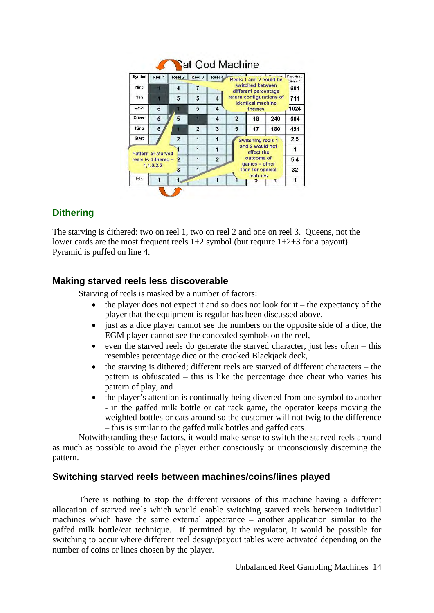| Symbol                                                                            | Reel 1 | Reel 2           | Reel 3                                 | Reel 4              | Reels 1 and 2 could be                               | Perceived<br>Combin. |     |     |
|-----------------------------------------------------------------------------------|--------|------------------|----------------------------------------|---------------------|------------------------------------------------------|----------------------|-----|-----|
| Nine                                                                              |        | $\boldsymbol{4}$ | 7                                      |                     | switched between<br>different percentage             | 604                  |     |     |
| Ten                                                                               | л      | 5                | 5                                      | 4                   | return configurations of<br><b>identical machine</b> | 711                  |     |     |
| Jack                                                                              | 6      |                  | 5                                      | 4                   |                                                      | 1024                 |     |     |
| Queen                                                                             | 6      | 5                |                                        | $\overline{\bf{4}}$ | $\mathbf{2}$                                         | 18                   | 240 | 604 |
| King                                                                              | 6      |                  | $\overline{a}$                         | 3                   | 5                                                    | 17                   | 180 | 454 |
| <b>Bast</b>                                                                       |        | $\overline{2}$   | 1                                      | 1                   | Switching reels 1                                    | 2.5                  |     |     |
|                                                                                   |        |                  | 1                                      | 1                   | and 2 would not                                      | 1                    |     |     |
| Pattern of starved<br>reels is dithered -<br>$\overline{2}$<br>1, 1, 2, 3, 2<br>3 |        |                  | 1                                      | $\overline{2}$      | outcome of                                           | 5.4                  |     |     |
|                                                                                   |        |                  | games - other<br>1<br>than for special |                     |                                                      |                      |     | 32  |
| Isis                                                                              | 1      | 1                |                                        |                     |                                                      | features<br>J        | т   | 1   |

## **Dithering**

The starving is dithered: two on reel 1, two on reel 2 and one on reel 3. Queens, not the lower cards are the most frequent reels 1+2 symbol (but require 1+2+3 for a payout). Pyramid is puffed on line 4.

## **Making starved reels less discoverable**

Starving of reels is masked by a number of factors:

- the player does not expect it and so does not look for  $it$  the expectancy of the player that the equipment is regular has been discussed above,
- just as a dice player cannot see the numbers on the opposite side of a dice, the EGM player cannot see the concealed symbols on the reel,
- even the starved reels do generate the starved character, just less often  $-$  this resembles percentage dice or the crooked Blackjack deck,
- the starving is dithered; different reels are starved of different characters the pattern is obfuscated – this is like the percentage dice cheat who varies his pattern of play, and
- the player's attention is continually being diverted from one symbol to another - in the gaffed milk bottle or cat rack game, the operator keeps moving the weighted bottles or cats around so the customer will not twig to the difference – this is similar to the gaffed milk bottles and gaffed cats.

Notwithstanding these factors, it would make sense to switch the starved reels around as much as possible to avoid the player either consciously or unconsciously discerning the pattern.

## **Switching starved reels between machines/coins/lines played**

There is nothing to stop the different versions of this machine having a different allocation of starved reels which would enable switching starved reels between individual machines which have the same external appearance – another application similar to the gaffed milk bottle/cat technique. If permitted by the regulator, it would be possible for switching to occur where different reel design/payout tables were activated depending on the number of coins or lines chosen by the player.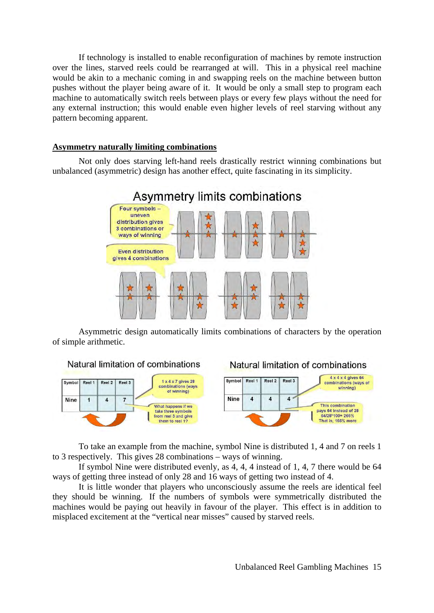If technology is installed to enable reconfiguration of machines by remote instruction over the lines, starved reels could be rearranged at will. This in a physical reel machine would be akin to a mechanic coming in and swapping reels on the machine between button pushes without the player being aware of it. It would be only a small step to program each machine to automatically switch reels between plays or every few plays without the need for any external instruction; this would enable even higher levels of reel starving without any pattern becoming apparent.

#### **Asymmetry naturally limiting combinations**

Not only does starving left-hand reels drastically restrict winning combinations but unbalanced (asymmetric) design has another effect, quite fascinating in its simplicity.



Asymmetric design automatically limits combinations of characters by the operation of simple arithmetic.



Natural limitation of combinations



To take an example from the machine, symbol Nine is distributed 1, 4 and 7 on reels 1 to 3 respectively. This gives 28 combinations – ways of winning.

If symbol Nine were distributed evenly, as 4, 4, 4 instead of 1, 4, 7 there would be 64 ways of getting three instead of only 28 and 16 ways of getting two instead of 4.

It is little wonder that players who unconsciously assume the reels are identical feel they should be winning. If the numbers of symbols were symmetrically distributed the machines would be paying out heavily in favour of the player. This effect is in addition to misplaced excitement at the "vertical near misses" caused by starved reels.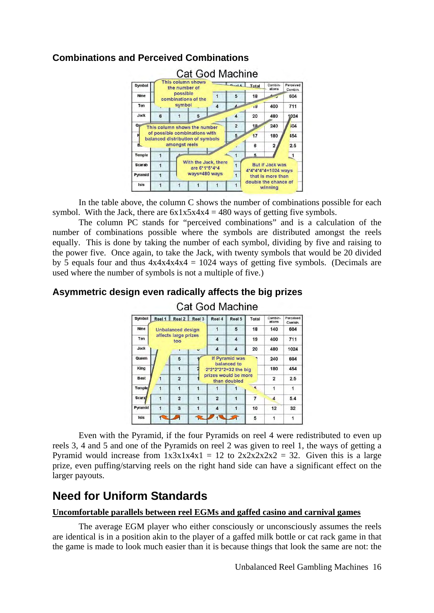

## **Combinations and Perceived Combinations**

In the table above, the column C shows the number of combinations possible for each symbol. With the Jack, there are  $6x1x5x4x4 = 480$  ways of getting five symbols.

The column PC stands for "perceived combinations" and is a calculation of the number of combinations possible where the symbols are distributed amongst the reels equally. This is done by taking the number of each symbol, dividing by five and raising to the power five. Once again, to take the Jack, with twenty symbols that would be 20 divided by 5 equals four and thus  $4x4x4x4x4 = 1024$  ways of getting five symbols. (Decimals are used where the number of symbols is not a multiple of five.)

# **Asymmetric design even radically affects the big prizes**



**Cat God Machine** 

Even with the Pyramid, if the four Pyramids on reel 4 were redistributed to even up reels 3, 4 and 5 and one of the Pyramids on reel 2 was given to reel 1, the ways of getting a Pyramid would increase from  $1x3x1x4x1 = 12$  to  $2x2x2x2x2 = 32$ . Given this is a large prize, even puffing/starving reels on the right hand side can have a significant effect on the larger payouts.

# **Need for Uniform Standards**

## **Uncomfortable parallels between reel EGMs and gaffed casino and carnival games**

The average EGM player who either consciously or unconsciously assumes the reels are identical is in a position akin to the player of a gaffed milk bottle or cat rack game in that the game is made to look much easier than it is because things that look the same are not: the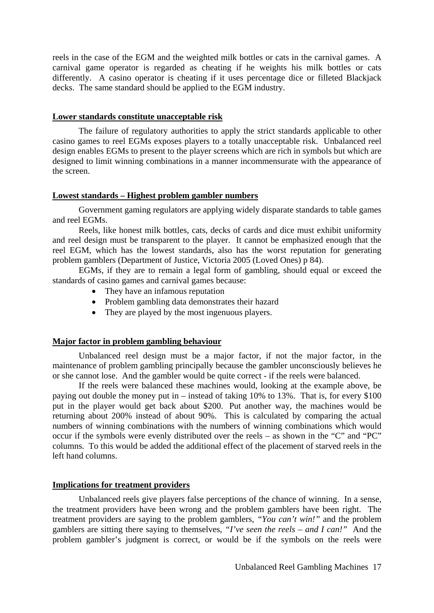reels in the case of the EGM and the weighted milk bottles or cats in the carnival games. A carnival game operator is regarded as cheating if he weights his milk bottles or cats differently. A casino operator is cheating if it uses percentage dice or filleted Blackjack decks. The same standard should be applied to the EGM industry.

#### **Lower standards constitute unacceptable risk**

The failure of regulatory authorities to apply the strict standards applicable to other casino games to reel EGMs exposes players to a totally unacceptable risk. Unbalanced reel design enables EGMs to present to the player screens which are rich in symbols but which are designed to limit winning combinations in a manner incommensurate with the appearance of the screen.

#### **Lowest standards – Highest problem gambler numbers**

Government gaming regulators are applying widely disparate standards to table games and reel EGMs.

Reels, like honest milk bottles, cats, decks of cards and dice must exhibit uniformity and reel design must be transparent to the player. It cannot be emphasized enough that the reel EGM, which has the lowest standards, also has the worst reputation for generating problem gamblers (Department of Justice, Victoria 2005 (Loved Ones) p 84).

EGMs, if they are to remain a legal form of gambling, should equal or exceed the standards of casino games and carnival games because:

- They have an infamous reputation
- Problem gambling data demonstrates their hazard
- They are played by the most ingenuous players.

#### **Major factor in problem gambling behaviour**

Unbalanced reel design must be a major factor, if not the major factor, in the maintenance of problem gambling principally because the gambler unconsciously believes he or she cannot lose. And the gambler would be quite correct - if the reels were balanced.

If the reels were balanced these machines would, looking at the example above, be paying out double the money put in – instead of taking 10% to 13%. That is, for every \$100 put in the player would get back about \$200. Put another way, the machines would be returning about 200% instead of about 90%. This is calculated by comparing the actual numbers of winning combinations with the numbers of winning combinations which would occur if the symbols were evenly distributed over the reels – as shown in the "C" and "PC" columns. To this would be added the additional effect of the placement of starved reels in the left hand columns.

#### **Implications for treatment providers**

Unbalanced reels give players false perceptions of the chance of winning. In a sense, the treatment providers have been wrong and the problem gamblers have been right. The treatment providers are saying to the problem gamblers, *"You can't win!"* and the problem gamblers are sitting there saying to themselves, *"I've seen the reels – and I can!"* And the problem gambler's judgment is correct, or would be if the symbols on the reels were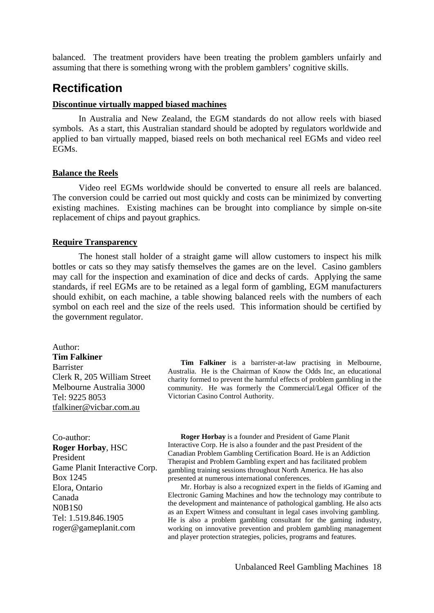balanced. The treatment providers have been treating the problem gamblers unfairly and assuming that there is something wrong with the problem gamblers' cognitive skills.

## **Rectification**

#### **Discontinue virtually mapped biased machines**

In Australia and New Zealand, the EGM standards do not allow reels with biased symbols. As a start, this Australian standard should be adopted by regulators worldwide and applied to ban virtually mapped, biased reels on both mechanical reel EGMs and video reel EGMs.

#### **Balance the Reels**

Video reel EGMs worldwide should be converted to ensure all reels are balanced. The conversion could be carried out most quickly and costs can be minimized by converting existing machines. Existing machines can be brought into compliance by simple on-site replacement of chips and payout graphics.

#### **Require Transparency**

The honest stall holder of a straight game will allow customers to inspect his milk bottles or cats so they may satisfy themselves the games are on the level. Casino gamblers may call for the inspection and examination of dice and decks of cards. Applying the same standards, if reel EGMs are to be retained as a legal form of gambling, EGM manufacturers should exhibit, on each machine, a table showing balanced reels with the numbers of each symbol on each reel and the size of the reels used. This information should be certified by the government regulator.

Author: **Tim Falkiner**  Barrister Clerk R, 205 William Street Melbourne Australia 3000 Tel: 9225 8053 [tfalkiner@vicbar.com.au](mailto:tfalkiner@vicbar.com.au)

 **Tim Falkiner** is a barrister-at-law practising in Melbourne, Australia. He is the Chairman of Know the Odds Inc, an educational charity formed to prevent the harmful effects of problem gambling in the community. He was formerly the Commercial/Legal Officer of the Victorian Casino Control Authority.

Co-author: **Roger Horbay**, HSC President Game Planit Interactive Corp. Box 1245 Elora, Ontario Canada N0B1S0 Tel: 1.519.846.1905 roger@gameplanit.com

 **Roger Horbay** is a founder and President of Game Planit Interactive Corp. He is also a founder and the past President of the Canadian Problem Gambling Certification Board. He is an Addiction Therapist and Problem Gambling expert and has facilitated problem gambling training sessions throughout North America. He has also presented at numerous international conferences.

 Mr. Horbay is also a recognized expert in the fields of iGaming and Electronic Gaming Machines and how the technology may contribute to the development and maintenance of pathological gambling. He also acts as an Expert Witness and consultant in legal cases involving gambling. He is also a problem gambling consultant for the gaming industry, working on innovative prevention and problem gambling management and player protection strategies, policies, programs and features.